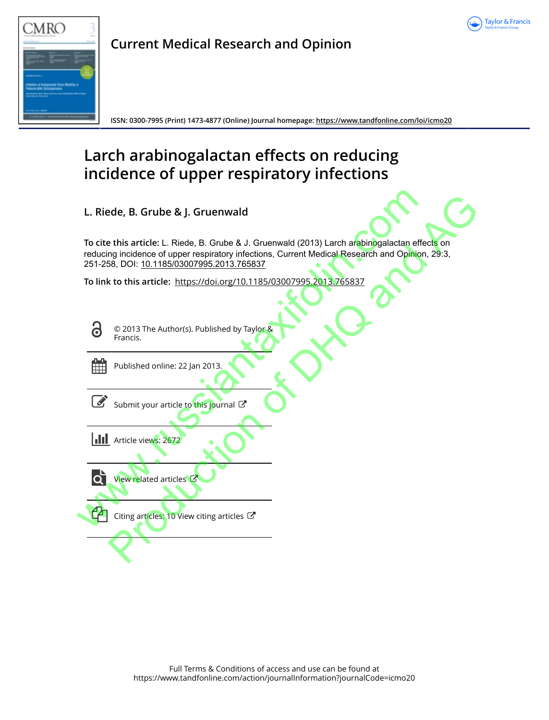



**Current Medical Research and Opinion**

**ISSN: 0300-7995 (Print) 1473-4877 (Online) Journal homepage:<https://www.tandfonline.com/loi/icmo20>**

# **Larch arabinogalactan effects on reducing incidence of upper respiratory infections**

**L. Riede, B. Grube & J. Gruenwald**

**To cite this article:** L. Riede, B. Grube & J. Gruenwald (2013) Larch arabinogalactan effects on reducing incidence of upper respiratory infections, Current Medical Research and Opinion, 29:3, 251-258, DOI: [10.1185/03007995.2013.765837](https://www.tandfonline.com/action/showCitFormats?doi=10.1185/03007995.2013.765837) L. Riede, B. Grube & J. Gruen[w](https://www.tandfonline.com/doi/citedby/10.1185/03007995.2013.765837#tabModule)ald<br>
To cite this article: L. Riede, B. Grube & J. Gruenwald (2013) Larch and binogalactan effection<br>
251-258, DOI: <u>10. 1165/03007995.2013.765837</u><br>
To link to this article: https://doi.org/10 ede, B. Grube & J. Gruenwald<br>
this article: L. Riede, B. Grube & J. Gruenwald (2013) Larch arabinogralactan effects on<br>
ing incidence of upper respirative interductions. Current Medical Research and Ophilon, 29:3,<br>
to this

**To link to this article:** https://doi.org/10.1185/03007995.2013.765837

© 2013 The Author(s). Published by Taylor & Francis.

Published online: 22 Jan 2013.



 $\overrightarrow{S}$  Submit your article to this journal  $G$ 

**III** Article views: 2672



Citing articles: 10 View citing articles **■**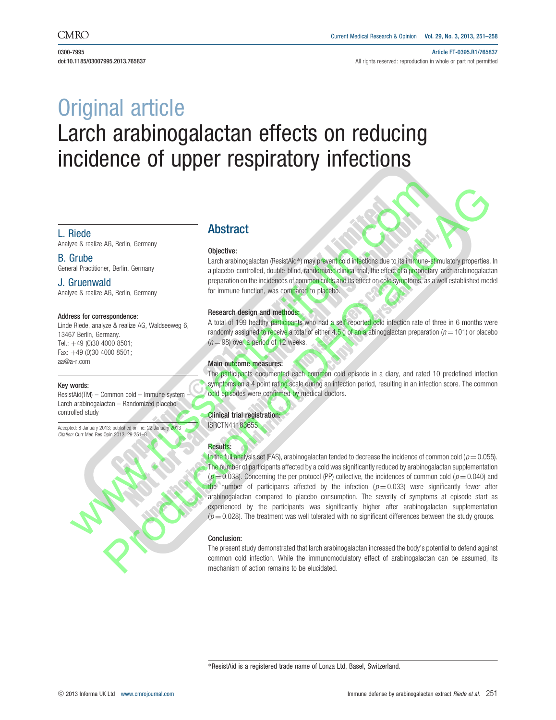0300-7995 Article FT-0395.R1/765837 doi:10.1185/03007995.2013.765837 All rights reserved: reproduction in whole or part not permitted

# Original article Larch arabinogalactan effects on reducing incidence of upper respiratory infections

#### L. Riede

Analyze & realize AG, Berlin, Germany

B. Grube General Practitioner, Berlin, Germany

#### J. Gruenwald

Analyze & realize AG, Berlin, Germany

#### Address for correspondence:

Linde Riede, analyze & realize AG, Waldseeweg 6, 13467 Berlin, Germany. Tel.: þ49 (0)30 4000 8501; Fax: +49 (0)30 4000 8501; aa@a-r.com

#### Key words:

ResistAid(TM) – Common cold – Immune system – Larch arabinogalactan – Randomized placebocontrolled study

Accepted: 8 January 2013; published online: 22 January 2013 Citation: Curr Med Res Opin 2013; 29:251–8

## Abstract

#### Objective:

Larch arabinogalactan (ResistAid\*) may prevent cold infections due to its immune-stimulatory properties. In a placebo-controlled, double-blind, randomized clinical trial, the effect of a proprietary larch arabinogalactan preparation on the incidences of common colds and its effect on cold symptoms, as a well established model for immune function, was compared to placebo.

#### Research design and methods:

A total of 199 healthy participants who had a self reported cold infection rate of three in 6 months were randomly assigned to receive a total of either 4.5 g of an arabinogalactan preparation ( $n = 101$ ) or placebo  $(n=98)$  over a period of 12 weeks.

#### Main outcome measures:

The participants documented each common cold episode in a diary, and rated 10 predefined infection symptoms on a 4 point rating scale during an infection period, resulting in an infection score. The common cold episodes were confirmed by medical doctors.

#### Clinical trial registration:

ISRCTN41183655.

#### Results:

Copyright Copyright Control Control Control Control Control Control Control Control Control Control Commercial Distribution University of the Commercial Distribution University of the Commercial Distribution University of In the full analysis set (FAS), arabinogalactan tended to decrease the incidence of common cold ( $p = 0.055$ ). The number of participants affected by a cold was significantly reduced by arabinogalactan supplementation ( $p = 0.038$ ). Concerning the per protocol (PP) collective, the incidences of common cold ( $p = 0.040$ ) and the number of participants affected by the infection  $(p=0.033)$  were significantly fewer after arabinogalactan compared to placebo consumption. The severity of symptoms at episode start as experienced by the participants was significantly higher after arabinogalactan supplementation  $(p = 0.028)$ . The treatment was well tolerated with no significant differences between the study groups.  $\begin{tabular}{|c|c|c|c|c|} \hline \textbf{Riedde} & \textbf{Abstract} \\ \hline \textbf{Grule} & \textbf{Grule} & \textbf{Dsltract} \\ \hline \textbf{Grule} & \textbf{Grule} & \textbf{Dsltract} \\ \hline \textbf{Grule} & \textbf{Dsltract} & \textbf{Dsltract} \\ \hline \textbf{Grule} & \textbf{Dsltract} & \textbf{Dsltract} \\ \hline \textbf{Mcl} & \textbf{Dsltract} & \textbf{Dsltract} \\ \hline \textbf{Mcl} & \textbf{Dsltract} & \textbf{Dsltract} \\ \$ Abstract<br>
Abstract<br>
(AG, Berlin, Germany<br>
Unit, Germany<br>
Unit, Germany<br>
Unit, Germany<br>
Larch analogosized on the incidense of componenties and the information of Developmental and the Componential of the incidense of the

#### Conclusion:

The present study demonstrated that larch arabinogalactan increased the body's potential to defend against common cold infection. While the immunomodulatory effect of arabinogalactan can be assumed, its mechanism of action remains to be elucidated.

\*ResistAid is a registered trade name of Lonza Ltd, Basel, Switzerland.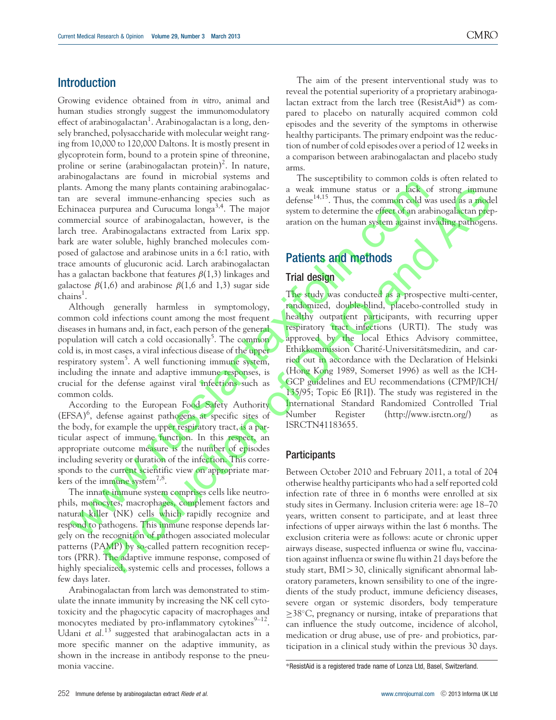## **Introduction**

Growing evidence obtained from in vitro, animal and human studies strongly suggest the immunomodulatory effect of arabinogalactan<sup>1</sup>. Arabinogalactan is a long, densely branched, polysaccharide with molecular weight ranging from 10,000 to 120,000 Daltons. It is mostly present in glycoprotein form, bound to a protein spine of threonine, proline or serine (arabinogalactan protein)<sup>2</sup>. In nature, arabinogalactans are found in microbial systems and plants. Among the many plants containing arabinogalactan are several immune-enhancing species such as Echinacea purpurea and Curucuma  $longa^{3,4}$ . The major commercial source of arabinogalactan, however, is the larch tree. Arabinogalactans extracted from Larix spp. bark are water soluble, highly branched molecules composed of galactose and arabinose units in a 6:1 ratio, with trace amounts of glucuronic acid. Larch arabinogalactan has a galactan backbone that features  $\beta(1,3)$  linkages and galactose  $\beta(1,6)$  and arabinose  $\beta(1,6)$  and 1,3) sugar side  $\tilde{c}$ hains<sup>1</sup>. ns. Among the many plants containing arbinogalac-<br>are several immune status or a head of simulation and the material species such as detected with Thus, the communication<br>interest performance and Curucuma longer.<sup>34</sup>. The

Although generally harmless in symptomology, common cold infections count among the most frequent diseases in humans and, in fact, each person of the general population will catch a cold occasionally<sup>5</sup>. The common cold is, in most cases, a viral infectious disease of the upper respiratory system<sup>5</sup>. A well functioning immune system, including the innate and adaptive immune responses, is crucial for the defense against viral infections such as common colds.

According to the European Food Safety Authority (EFSA)<sup>6</sup> , defense against pathogens at specific sites of the body, for example the upper respiratory tract, is a particular aspect of immune function. In this respect, an appropriate outcome measure is the number of episodes including severity or duration of the infection. This corresponds to the current scientific view on appropriate markers of the immune system<sup>7,8</sup>.

The innate immune system comprises cells like neutrophils, monocytes, macrophages, complement factors and natural killer (NK) cells which rapidly recognize and respond to pathogens. This immune response depends largely on the recognition of pathogen associated molecular patterns (PAMP) by so-called pattern recognition receptors (PRR). The adaptive immune response, composed of highly specialized, systemic cells and processes, follows a few days later.

Arabinogalactan from larch was demonstrated to stimulate the innate immunity by increasing the NK cell cytotoxicity and the phagocytic capacity of macrophages and monocytes mediated by pro-inflammatory cytokines $9-12$ . Udani et  $al$ .<sup>13</sup> suggested that arabinogalactan acts in a more specific manner on the adaptive immunity, as shown in the increase in antibody response to the pneumonia vaccine.

The aim of the present interventional study was to reveal the potential superiority of a proprietary arabinogalactan extract from the larch tree (ResistAid\*) as compared to placebo on naturally acquired common cold episodes and the severity of the symptoms in otherwise healthy participants. The primary endpoint was the reduction of number of cold episodes over a period of 12 weeks in a comparison between arabinogalactan and placebo study arms.

The susceptibility to common colds is often related to a weak immune status or a lack of strong immune defense<sup>14,15</sup>. Thus, the common cold was used as a model system to determine the effect of an arabinogalactan preparation on the human system against invading pathogens.

## Patients and methods

## Trial design

The study was conducted as a prospective multi-center, randomized, double-blind, placebo-controlled study in healthy outpatient participants, with recurring upper respiratory tract infections (URTI). The study was approved by the local Ethics Advisory committee, Ethikkommission Charité-Universitätsmedizin, and carried out in accordance with the Declaration of Helsinki (Hong Kong 1989, Somerset 1996) as well as the ICH-GCP guidelines and EU recommendations (CPMP/ICH/ 135/95; Topic E6 [R1]). The study was registered in the International Standard Randomized Controlled Trial Number Register (http://www.isrctn.org/) ISRCTN41183655. the many plane containing and<br>houghave a new simulation of a keel of strong input<br>means any and Commute change species such as defence-<sup>14,15</sup>. Thus, the common cold was used as a production<br>source of antimogalactam, howe

#### **Participants**

Between October 2010 and February 2011, a total of 204 otherwise healthy participants who had a self reported cold infection rate of three in 6 months were enrolled at six study sites in Germany. Inclusion criteria were: age 18–70 years, written consent to participate, and at least three infections of upper airways within the last 6 months. The exclusion criteria were as follows: acute or chronic upper airways disease, suspected influenza or swine flu, vaccination against influenza or swine flu within 21 days before the study start,  $BMI > 30$ , clinically significant abnormal laboratory parameters, known sensibility to one of the ingredients of the study product, immune deficiency diseases, severe organ or systemic disorders, body temperature  $\geq$ 38°C, pregnancy or nursing, intake of preparations that can influence the study outcome, incidence of alcohol, medication or drug abuse, use of pre- and probiotics, participation in a clinical study within the previous 30 days.

<sup>\*</sup>ResistAid is a registered trade name of Lonza Ltd, Basel, Switzerland.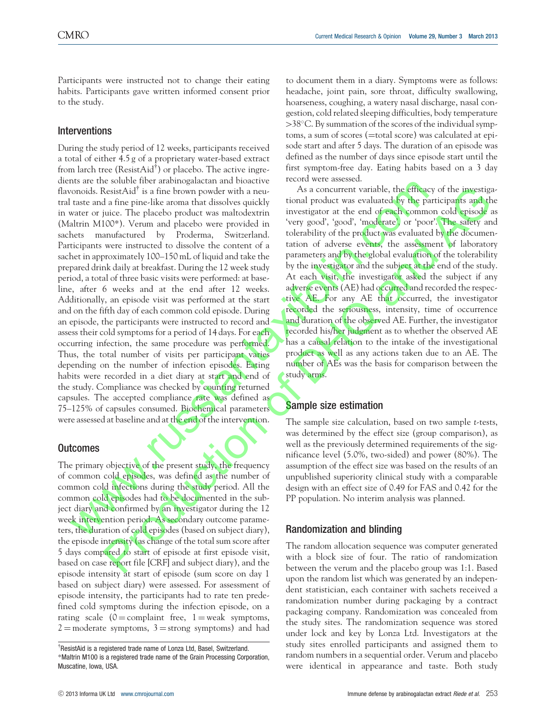Participants were instructed not to change their eating habits. Participants gave written informed consent prior to the study.

## Interventions

During the study period of 12 weeks, participants received a total of either 4.5 g of a proprietary water-based extract from larch tree (ResistAid<sup>†</sup>) or placebo. The active ingredients are the soluble fiber arabinogalactan and bioactive flavonoids. Resist $\text{Aid}^\dagger$  is a fine brown powder with a neutral taste and a fine pine-like aroma that dissolves quickly in water or juice. The placebo product was maltodextrin (Maltrin M100\*). Verum and placebo were provided in sachets manufactured by Proderma, Switzerland. Participants were instructed to dissolve the content of a sachet in approximately 100–150 mL of liquid and take the prepared drink daily at breakfast. During the 12 week study period, a total of three basic visits were performed: at baseline, after 6 weeks and at the end after 12 weeks. Additionally, an episode visit was performed at the start and on the fifth day of each common cold episode. During an episode, the participants were instructed to record and assess their cold symptoms for a period of 14 days. For each occurring infection, the same procedure was performed. Thus, the total number of visits per participant varies depending on the number of infection episodes. Eating habits were recorded in a diet diary at start and end of the study. Compliance was checked by counting returned capsules. The accepted compliance rate was defined as 75–125% of capsules consumed. Biochemical parameters were assessed at baseline and at the end of the intervention. EN are me souther have a measure and a final manifological and not as the measure of the stationary income that discusses unicle, the efficiency of the pinciline are and a fine pinciline are manifold by the pincilic are a Assistable is a fine borow power with a neutral manupolitic the efficies of the interstingent of the sample of AG and the energy of the production of the photon of the photon of the photon of the photon of the photon of t

#### **Outcomes**

The primary objective of the present study, the frequency of common cold episodes, was defined as the number of common cold infections during the study period. All the common cold episodes had to be documented in the subject diary and confirmed by an investigator during the 12 week intervention period. As secondary outcome parameters, the duration of cold episodes (based on subject diary), the episode intensity (as change of the total sum score after 5 days compared to start of episode at first episode visit, based on case report file [CRF] and subject diary), and the episode intensity at start of episode (sum score on day 1 based on subject diary) were assessed. For assessment of episode intensity, the participants had to rate ten predefined cold symptoms during the infection episode, on a rating scale  $(0 =$ complaint free,  $1 =$ weak symptoms,  $2 =$  moderate symptoms,  $3 =$  strong symptoms) and had

to document them in a diary. Symptoms were as follows: headache, joint pain, sore throat, difficulty swallowing, hoarseness, coughing, a watery nasal discharge, nasal congestion, cold related sleeping difficulties, body temperature  $>38^{\circ}$ C. By summation of the scores of the individual symptoms, a sum of scores (=total score) was calculated at episode start and after 5 days. The duration of an episode was defined as the number of days since episode start until the first symptom-free day. Eating habits based on a 3 day record were assessed.

As a concurrent variable, the efficacy of the investigational product was evaluated by the participants and the investigator at the end of each common cold episode as 'very good', 'good', 'moderate', or 'poor'. The safety and tolerability of the product was evaluated by the documentation of adverse events, the assessment of laboratory parameters and by the global evaluation of the tolerability by the investigator and the subject at the end of the study. At each visit, the investigator asked the subject if any adverse events (AE) had occurred and recorded the respective AE. For any AE that occurred, the investigator recorded the seriousness, intensity, time of occurrence and duration of the observed AE. Further, the investigator recorded his/her judgment as to whether the observed AE has a causal relation to the intake of the investigational product as well as any actions taken due to an AE. The number of AEs was the basis for comparison between the study arms.

#### Sample size estimation

The sample size calculation, based on two sample t-tests, was determined by the effect size (group comparison), as well as the previously determined requirements of the significance level (5.0%, two-sided) and power (80%). The assumption of the effect size was based on the results of an unpublished superiority clinical study with a comparable design with an effect size of 0.49 for FAS and 0.42 for the PP population. No interim analysis was planned.

## Randomization and blinding

The random allocation sequence was computer generated with a block size of four. The ratio of randomization between the verum and the placebo group was 1:1. Based upon the random list which was generated by an independent statistician, each container with sachets received a randomization number during packaging by a contract packaging company. Randomization was concealed from the study sites. The randomization sequence was stored under lock and key by Lonza Ltd. Investigators at the study sites enrolled participants and assigned them to random numbers in a sequential order. Verum and placebo were identical in appearance and taste. Both study

<sup>&</sup>lt;sup>†</sup>ResistAid is a registered trade name of Lonza Ltd, Basel, Switzerland. \*Maltrin M100 is a registered trade name of the Grain Processing Corporation, Muscatine, Iowa, USA.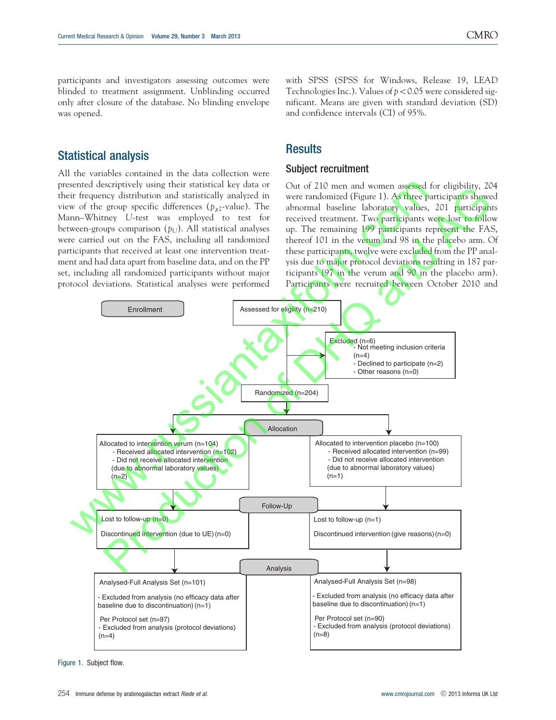participants and investigators assessing outcomes were blinded to treatment assignment. Unblinding occurred only after closure of the database. No blinding envelope was opened.

## Statistical analysis

All the variables contained in the data collection were presented descriptively using their statistical key data or their frequency distribution and statistically analyzed in view of the group specific differences ( $p_{\chi2}$ -value). The Mann–Whitney U-test was employed to test for between-groups comparison  $(p_U)$ . All statistical analyses were carried out on the FAS, including all randomized participants that received at least one intervention treatment and had data apart from baseline data, and on the PP set, including all randomized participants without major protocol deviations. Statistical analyses were performed

with SPSS (SPSS for Windows, Release 19, LEAD Technologies Inc.). Values of  $p < 0.05$  were considered significant. Means are given with standard deviation (SD) and confidence intervals (CI) of 95%.

## **Results**

## Subject recruitment

Out of 210 men and women assessed for eligibility, 204 were randomized (Figure 1). As three participants showed abnormal baseline laboratory values, 201 participants received treatment. Two participants were lost to follow up. The remaining 199 participants represent the FAS, thereof 101 in the verum and 98 in the placebo arm. Of these participants, twelve were excluded from the PP analysis due to major protocol deviations resulting in 187 participants (97 in the verum and 90 in the placebo arm). Participants were recruited between October 2010 and



Figure 1. Subject flow.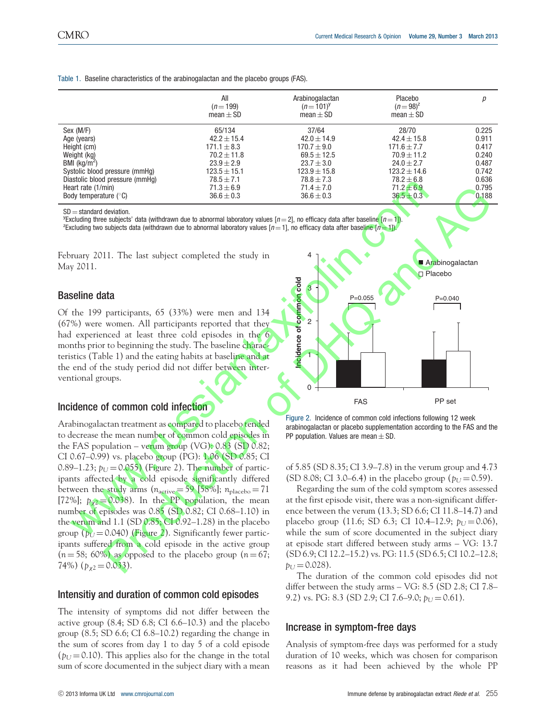Table 1. Baseline characteristics of the arabinogalactan and the placebo groups (FAS).

|                                 | All<br>$(n=199)$<br>$mean + SD$ | Arabinogalactan<br>$(n=101)^y$<br>mean $\pm$ SD | Placebo<br>$(n=98)^{2}$<br>mean $\pm$ SD |       |
|---------------------------------|---------------------------------|-------------------------------------------------|------------------------------------------|-------|
| Sex (M/F)                       | 65/134                          | 37/64                                           | 28/70                                    | 0.225 |
| Age (years)                     | $42.2 \pm 15.4$                 | $42.0 \pm 14.9$                                 | $42.4 \pm 15.8$                          | 0.911 |
| Height (cm)                     | $171.1 \pm 8.3$                 | $170.7 \pm 9.0$                                 | $171.6 \pm 7.7$                          | 0.417 |
| Weight (kg)                     | $70.2 \pm 11.8$                 | $69.5 \pm 12.5$                                 | $70.9 \pm 11.2$                          | 0.240 |
| BMI ( $kg/m2$ )                 | $23.9 + 2.9$                    | $23.7 \pm 3.0$                                  | $24.0 + 2.7$                             | 0.487 |
| Systolic blood pressure (mmHg)  | $123.5 \pm 15.1$                | $123.9 \pm 15.8$                                | $123.2 \pm 14.6$                         | 0.742 |
| Diastolic blood pressure (mmHg) | $78.5 \pm 7.1$                  | $78.8 \pm 7.3$                                  | $78.2 \pm 6.8$                           | 0.636 |
| Heart rate (1/min)              | $71.3 \pm 6.9$                  | $71.4 \pm 7.0$                                  | $71.2 \pm 6.9$                           | 0.795 |
| Body temperature $(°C)$         | $36.6 \pm 0.3$                  | $36.6 \pm 0.3$                                  | $36.5 \pm 0.3$                           | 0.188 |

 $SD =$  standard deviation.

<sup>y</sup>Excluding three subjects' data (withdrawn due to abnormal laboratory values [n = 2], no efficacy data after baseline  $[n=1]$ <sup>z</sup>Excluding two subjects data (withdrawn due to abnormal laboratory values  $[n=1]$ , no efficacy data after baseline  $[n=1]$ ).

February 2011. The last subject completed the study in May 2011.

#### Baseline data

Of the 199 participants, 65 (33%) were men and 134 (67%) were women. All participants reported that they had experienced at least three cold episodes in the 6 months prior to beginning the study. The baseline characteristics (Table 1) and the eating habits at baseline and at the end of the study period did not differ between interventional groups.

#### Incidence of common cold infection

Arabinogalactan treatment as compared to placebo tended to decrease the mean number of common cold episodes in the FAS population – verum group (VG):  $0.83$  (SD  $0.82$ ; CI 0.67–0.99) vs. placebo group (PG): 1.06 (SD 0.85; CI 0.89–1.23;  $p_U = 0.055$ ) (Figure 2). The number of participants affected by a cold episode significantly differed between the study arms  $(n_{\text{active}} = 59 \text{ [}58\text{%}]; n_{\text{placebo}} = 71$ [72%];  $p_{\chi2} = 0.038$ ). In the PP population, the mean number of episodes was 0.85 (SD 0.82; CI 0.68–1.10) in the verum and 1.1 (SD 0.85; CI 0.92–1.28) in the placebo group ( $p_U = 0.040$ ) (Figure 2). Significantly fewer participants suffered from a cold episode in the active group  $(n = 58; 60\%)$  as opposed to the placebo group  $(n = 67;$ 74%)  $(p_{\gamma 2} = 0.033)$ .

#### Intensitiy and duration of common cold episodes

The intensity of symptoms did not differ between the active group (8.4; SD 6.8; CI 6.6–10.3) and the placebo group (8.5; SD 6.6; CI 6.8–10.2) regarding the change in the sum of scores from day 1 to day 5 of a cold episode  $(p_U = 0.10)$ . This applies also for the change in the total sum of score documented in the subject diary with a mean



Figure 2. Incidence of common cold infections following 12 week arabinogalactan or placebo supplementation according to the FAS and the PP population. Values are mean  $\pm$  SD.

of 5.85 (SD 8.35; CI 3.9–7.8) in the verum group and 4.73 (SD 8.08; CI 3.0–6.4) in the placebo group ( $p_U = 0.59$ ).

Regarding the sum of the cold symptom scores assessed at the first episode visit, there was a non-significant difference between the verum (13.3; SD 6.6; CI 11.8–14.7) and placebo group (11.6; SD 6.3; CI 10.4–12.9;  $p_U = 0.06$ ), while the sum of score documented in the subject diary at episode start differed between study arms – VG: 13.7 (SD 6.9; CI 12.2–15.2) vs. PG: 11.5 (SD 6.5; CI 10.2–12.8;  $p_{U} = 0.028$ ).

The duration of the common cold episodes did not differ between the study arms – VG: 8.5 (SD 2.8; CI 7.8– 9.2) vs. PG: 8.3 (SD 2.9; CI 7.6–9.0;  $p_U = 0.61$ ).

## Increase in symptom-free days

Analysis of symptom-free days was performed for a study duration of 10 weeks, which was chosen for comparison reasons as it had been achieved by the whole PP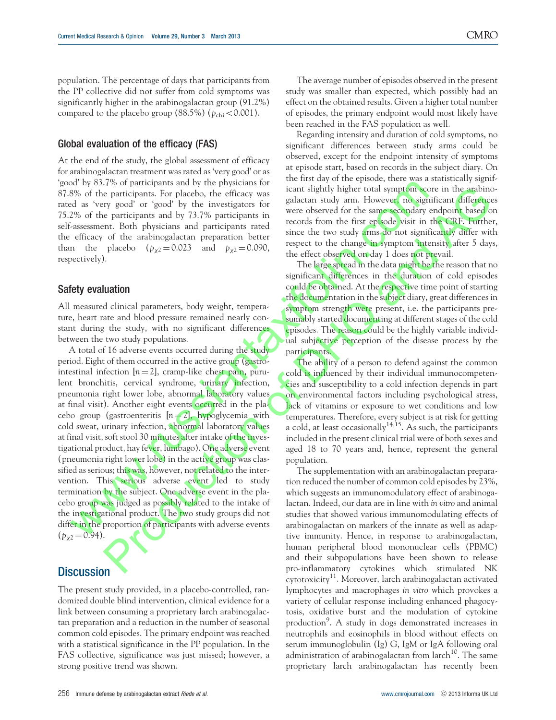population. The percentage of days that participants from the PP collective did not suffer from cold symptoms was significantly higher in the arabinogalactan group (91.2%) compared to the placebo group  $(88.5\%)$  ( $p_{\text{chi}}$  < 0.001).

## Global evaluation of the efficacy (FAS)

At the end of the study, the global assessment of efficacy for arabinogalactan treatment was rated as 'very good' or as 'good' by 83.7% of participants and by the physicians for 87.8% of the participants. For placebo, the efficacy was rated as 'very good' or 'good' by the investigators for 75.2% of the participants and by 73.7% participants in self-assessment. Both physicians and participants rated the efficacy of the arabinogalactan preparation better than the placebo ( $p_{x2} = 0.023$  and  $p_{x2} = 0.090$ , respectively).

#### Safety evaluation

All measured clinical parameters, body weight, temperature, heart rate and blood pressure remained nearly constant during the study, with no significant differences between the two study populations.

A total of 16 adverse events occurred during the study period. Eight of them occurred in the active group (gastrointestinal infection  $[n = 2]$ , cramp-like chest pain, purulent bronchitis, cervical syndrome, urinary infection, pneumonia right lower lobe, abnormal laboratory values at final visit). Another eight events occurred in the placebo group (gastroenteritis  $[n = 2]$ , hypoglycemia with cold sweat, urinary infection, abnormal laboratory values at final visit, soft stool 30 minutes after intake of the investigational product, hay fever, lumbago). One adverse event (pneumonia right lower lobe) in the active group was classified as serious; this was, however, not related to the intervention. This serious adverse event led to study termination by the subject. One adverse event in the placebo group was judged as possibly related to the intake of the investigational product. The two study groups did not differ in the proportion of participants with adverse events  $(p_{x2} = 0.94)$ . of by 83.7% of participants and by the physicinal for the material of the strength and by the interest of regional strength and the strength of the control of the strength and the strength of the control of the strength o e participants. For pheroh, the efficacy was identical signation of the applies and signation of production of production of the interesting of the interesting of the interesting of the interesting of the interesting of t

## **Discussion**

The present study provided, in a placebo-controlled, randomized double blind intervention, clinical evidence for a link between consuming a proprietary larch arabinogalactan preparation and a reduction in the number of seasonal common cold episodes. The primary endpoint was reached with a statistical significance in the PP population. In the FAS collective, significance was just missed; however, a strong positive trend was shown.

The average number of episodes observed in the present study was smaller than expected, which possibly had an effect on the obtained results. Given a higher total number of episodes, the primary endpoint would most likely have been reached in the FAS population as well.

Regarding intensity and duration of cold symptoms, no significant differences between study arms could be observed, except for the endpoint intensity of symptoms at episode start, based on records in the subject diary. On the first day of the episode, there was a statistically significant slightly higher total symptom score in the arabinogalactan study arm. However, no significant differences were observed for the same secondary endpoint based on records from the first episode visit in the CRF. Further, since the two study arms do not significantly differ with respect to the change in symptom intensity after 5 days, the effect observed on day 1 does not prevail.

The large spread in the data might be the reason that no significant differences in the duration of cold episodes could be obtained. At the respective time point of starting the documentation in the subject diary, great differences in symptom strength were present, i.e. the participants presumably started documenting at different stages of the cold episodes. The reason could be the highly variable individual subjective perception of the disease process by the participants.

The ability of a person to defend against the common cold is influenced by their individual immunocompetencies and susceptibility to a cold infection depends in part on environmental factors including psychological stress, lack of vitamins or exposure to wet conditions and low temperatures. Therefore, every subject is at risk for getting a cold, at least occasionally $14,15$ . As such, the participants included in the present clinical trial were of both sexes and aged 18 to 70 years and, hence, represent the general population.

The supplementation with an arabinogalactan preparation reduced the number of common cold episodes by 23%, which suggests an immunomodulatory effect of arabinogalactan. Indeed, our data are in line with in vitro and animal studies that showed various immunomodulating effects of arabinogalactan on markers of the innate as well as adaptive immunity. Hence, in response to arabinogalactan, human peripheral blood mononuclear cells (PBMC) and their subpopulations have been shown to release pro-inflammatory cytokines which stimulated NK  $c$ ytotoxicity<sup>11</sup>. Moreover, larch arabinogalactan activated lymphocytes and macrophages in vitro which provokes a variety of cellular response including enhanced phagocytosis, oxidative burst and the modulation of cytokine production<sup>9</sup>. A study in dogs demonstrated increases in neutrophils and eosinophils in blood without effects on serum immunoglobulin (Ig) G, IgM or IgA following oral administration of arabinogalactan from larch<sup>10</sup>. The same proprietary larch arabinogalactan has recently been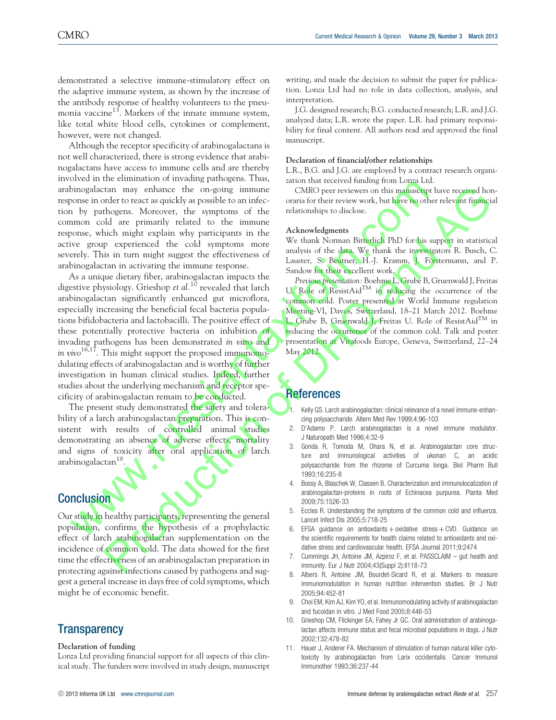demonstrated a selective immune-stimulatory effect on the adaptive immune system, as shown by the increase of the antibody response of healthy volunteers to the pneumonia vaccine<sup>13</sup>. Markers of the innate immune system, like total white blood cells, cytokines or complement, however, were not changed.

Although the receptor specificity of arabinogalactans is not well characterized, there is strong evidence that arabinogalactans have access to immune cells and are thereby involved in the elimination of invading pathogens. Thus, arabinogalactan may enhance the on-going immune response in order to react as quickly as possible to an infection by pathogens. Moreover, the symptoms of the common cold are primarily related to the immune response, which might explain why participants in the active group experienced the cold symptoms more severely. This in turn might suggest the effectiveness of arabinogalactan in activating the immune response.

As a unique dietary fiber, arabinogalactan impacts the digestive physiology. Grieshop et al.<sup>10</sup> revealed that larch arabinogalactan significantly enhanced gut microflora, especially increasing the beneficial fecal bacteria populations bifidobacteria and lactobacilli. The positive effect of these potentially protective bacteria on inhibition of invading pathogens has been demonstrated in vitro and in vivo<sup>16,17</sup>. This might support the proposed immunomodulating effects of arabinogalactan and is worthy of further investigation in human clinical studies. Indeed, further studies about the underlying mechanism and receptor specificity of arabinogalactan remain to be conducted. Even on the matrix of the state of the state of the state of the state of the matrix of the state of the state of the state of the state of the state of the state of the state of the state of the state of the state of the Exam may enhance the con-point immune<br>
Example and the material contributions are considered and the material contributions of the second contributions of the second contributions of the second contributions in the contri

The present study demonstrated the safety and tolerability of a larch arabinogalactan preparation. This is consistent with results of controlled animal studies demonstrating an absence of adverse effects, mortality and signs of toxicity after oral application of larch arabinogalactan<sup>18</sup>

## **Conclusion**

Our study in healthy participants, representing the general population, confirms the hypothesis of a prophylactic effect of larch arabinogalactan supplementation on the incidence of common cold. The data showed for the first time the effectiveness of an arabinogalactan preparation in protecting against infections caused by pathogens and suggest a general increase in days free of cold symptoms, which might be of economic benefit.

## **Transparency**

#### Declaration of funding

Lonza Ltd providing financial support for all aspects of this clinical study. The funders were involved in study design, manuscript writing, and made the decision to submit the paper for publication. Lonza Ltd had no role in data collection, analysis, and interpretation.

J.G. designed research; B.G. conducted research; L.R. and J.G. analyzed data; L.R. wrote the paper. L.R. had primary responsibility for final content. All authors read and approved the final manuscript.

#### Declaration of financial/other relationships

L.R., B.G. and J.G. are employed by a contract research organization that received funding from Lonza Ltd.

CMRO peer reviewers on this manuscript have received honoraria for their review work, but have no other relevant financial relationships to disclose.

#### Acknowledgments

We thank Norman Bitterlich PhD for his support in statistical analysis of the data. We thank the investigators R. Busch, C. Lauster, S. Beutner, H.-J. Kramm, J. Förstermann, and P. Sandow for their excellent work.

Previous presentation: Boehme L, Grube B, Gruenwald J, Freitas U. Role of ResistAidTM in reducing the occurrence of the common cold. Poster presented at World Immune regulation Meeting-VI, Davos, Switzerland, 18–21 March 2012. Boehme , Grube B, Gruenwald J, Freitas U. Role of ResistAid<sup>TM</sup> in reducing the occurrence of the common cold. Talk and poster presentation at Vitafoods Europe, Geneva, Switzerland, 22–24 May 2012.

## References

- Kelly GS. Larch arabinogalactan: clinical relevance of a novel immune-enhancing polysaccharide. Altern Med Rev 1999;4:96-103
- 2. D'Adamo P. Larch arabinogalactan is a novel immune modulator. J Naturopath Med 1996;4:32-9
- 3. Gonda R, Tomoda M, Ohara N, et al. Arabinogalactan core structure and immunological activities of ukonan C, an acidic polysaccharide from the rhizome of Curcuma longa. Biol Pharm Bull 1993;16:235-8
- 4. Bossy A, Blaschek W, Classen B. Characterization and immunolocalization of arabinogalactan-proteins in roots of Echinacea purpurea. Planta Med 2009;75:1526-33
- 5. Eccles R. Understanding the symptoms of the common cold and influenza. Lancet Infect Dis 2005;5:718-25
- 6. EFSA guidance on antioxdants  $+$  oxidative stress  $+$  CVD. Guidance on the scientific requirements for health claims related to antioxidants and oxidative stress and cardiovascular health. EFSA Journal 2011;9:2474
- 7. Cummings JH, Antoine JM, Azpiroz F, et al. PASSCLAIM gut health and immunity. Eur J Nutr 2004;43(Suppl 2):ll118-73
- 8. Albers R, Antoine JM, Bourdet-Sicard R, et al. Markers to measure immunomodulation in human nutrition intervention studies. Br J Nutr 2005;94:452-81
- 9. Choi EM, Kim AJ, Kim YO, et al. Immunomodulating activity of arabinogalactan and fucoidan in vitro. J Med Food 2005;8:446-53
- 10. Grieshop CM, Flickinger EA, Fahey Jr GC. Oral administration of arabinogalactan affects immune status and fecal microbial populations in dogs. J Nutr 2002;132:478-82
- 11. Hauer J, Anderer FA. Mechanism of stimulation of human natural killer cytotoxicity by arabinogalactan from Larix occidentalis. Cancer Immunol Immunother 1993;36:237-44